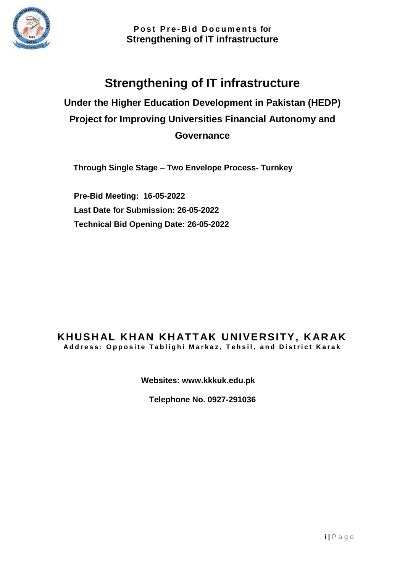

# **Strengthening of IT infrastructure**

**Under the Higher Education Development in Pakistan (HEDP) Project for Improving Universities Financial Autonomy and Governance**

**Through Single Stage – Two Envelope Process- Turnkey**

 **Pre-Bid Meeting: 16-05-2022 Last Date for Submission: 26-05-2022 Technical Bid Opening Date: 26-05-2022**

#### **KHUSH AL KHAN KH ATT AK UNIVERSITY, K AR AK** Address: Opposite Tablighi Markaz, Tehsil, and District Karak

**Websites: www.kkkuk.edu.pk**

**Telephone No. 0927-291036**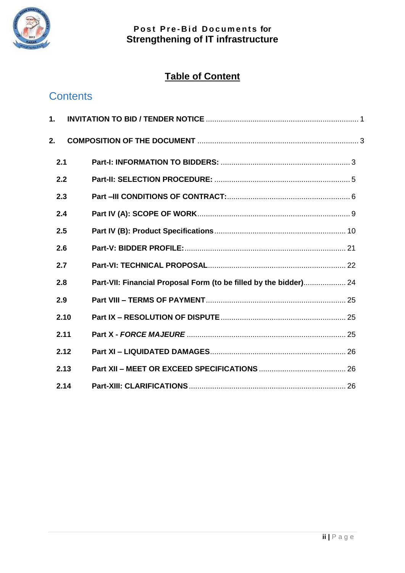

# **Table of Content**

# **Contents**

|    | 1.   |                                                                   |  |
|----|------|-------------------------------------------------------------------|--|
| 2. |      |                                                                   |  |
|    | 2.1  |                                                                   |  |
|    | 2.2  |                                                                   |  |
|    | 2.3  |                                                                   |  |
|    | 2.4  |                                                                   |  |
|    | 2.5  |                                                                   |  |
|    | 2.6  |                                                                   |  |
|    | 2.7  |                                                                   |  |
|    | 2.8  | Part-VII: Financial Proposal Form (to be filled by the bidder) 24 |  |
|    | 2.9  |                                                                   |  |
|    | 2.10 |                                                                   |  |
|    | 2.11 |                                                                   |  |
|    | 2.12 |                                                                   |  |
|    | 2.13 |                                                                   |  |
|    | 2.14 |                                                                   |  |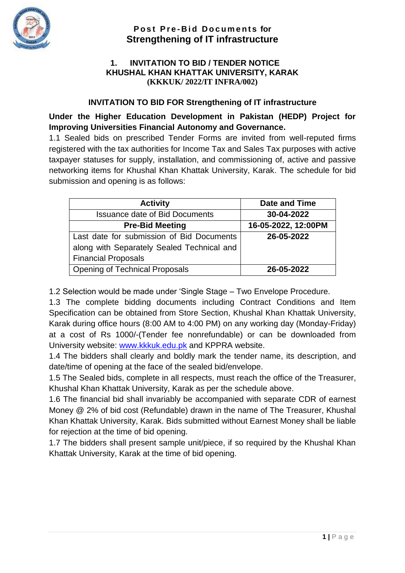<span id="page-2-0"></span>

#### **1. INVITATION TO BID / TENDER NOTICE KHUSHAL KHAN KHATTAK UNIVERSITY, KARAK (KKKUK/ 2022/IT INFRA/002)**

#### **INVITATION TO BID FOR Strengthening of IT infrastructure**

**Under the Higher Education Development in Pakistan (HEDP) Project for Improving Universities Financial Autonomy and Governance.**

1.1 Sealed bids on prescribed Tender Forms are invited from well-reputed firms registered with the tax authorities for Income Tax and Sales Tax purposes with active taxpayer statuses for supply, installation, and commissioning of, active and passive networking items for Khushal Khan Khattak University, Karak. The schedule for bid submission and opening is as follows:

| <b>Activity</b>                            | Date and Time       |
|--------------------------------------------|---------------------|
| <b>Issuance date of Bid Documents</b>      | 30-04-2022          |
| <b>Pre-Bid Meeting</b>                     | 16-05-2022, 12:00PM |
| Last date for submission of Bid Documents  | 26-05-2022          |
| along with Separately Sealed Technical and |                     |
| <b>Financial Proposals</b>                 |                     |
| <b>Opening of Technical Proposals</b>      | 26-05-2022          |

1.2 Selection would be made under 'Single Stage – Two Envelope Procedure.

1.3 The complete bidding documents including Contract Conditions and Item Specification can be obtained from Store Section, Khushal Khan Khattak University, Karak during office hours (8:00 AM to 4:00 PM) on any working day (Monday-Friday) at a cost of Rs 1000/-(Tender fee nonrefundable) or can be downloaded from University website: [www.kkkuk.edu.pk](http://www.kkkuk.edu.pk/) and KPPRA website.

1.4 The bidders shall clearly and boldly mark the tender name, its description, and date/time of opening at the face of the sealed bid/envelope.

1.5 The Sealed bids, complete in all respects, must reach the office of the Treasurer, Khushal Khan Khattak University, Karak as per the schedule above.

1.6 The financial bid shall invariably be accompanied with separate CDR of earnest Money @ 2% of bid cost (Refundable) drawn in the name of The Treasurer, Khushal Khan Khattak University, Karak. Bids submitted without Earnest Money shall be liable for rejection at the time of bid opening.

1.7 The bidders shall present sample unit/piece, if so required by the Khushal Khan Khattak University, Karak at the time of bid opening.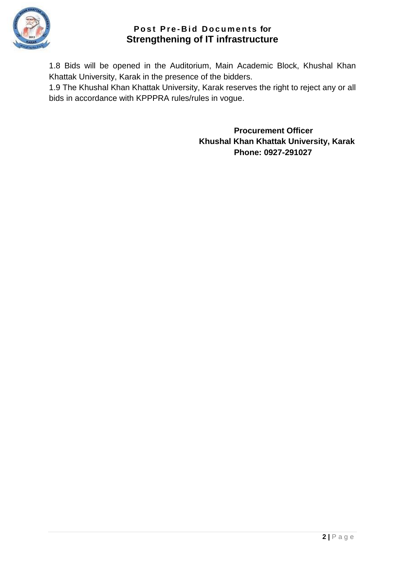

1.8 Bids will be opened in the Auditorium, Main Academic Block, Khushal Khan Khattak University, Karak in the presence of the bidders.

1.9 The Khushal Khan Khattak University, Karak reserves the right to reject any or all bids in accordance with KPPPRA rules/rules in vogue.

> **Procurement Officer Khushal Khan Khattak University, Karak Phone: 0927-291027**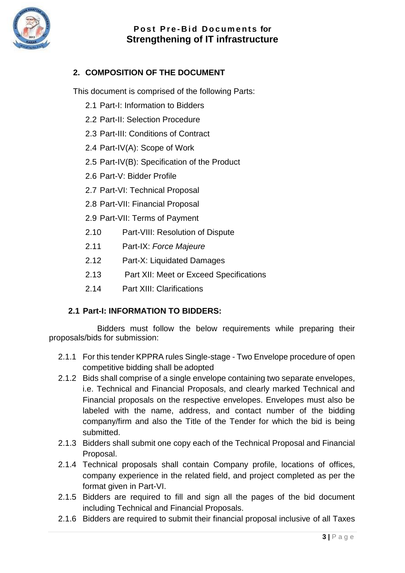

# <span id="page-4-0"></span>**2. COMPOSITION OF THE DOCUMENT**

This document is comprised of the following Parts:

- 2.1 Part-I: Information to Bidders
- 2.2 Part-II: Selection Procedure
- 2.3 Part-III: Conditions of Contract
- 2.4 Part-IV(A): Scope of Work
- 2.5 Part-IV(B): Specification of the Product
- 2.6 Part-V: Bidder Profile
- 2.7 Part-VI: Technical Proposal
- 2.8 Part-VII: Financial Proposal
- 2.9 Part-VII: Terms of Payment
- 2.10 Part-VIII: Resolution of Dispute
- 2.11 Part-IX: *Force Majeure*
- 2.12 Part-X: Liquidated Damages
- 2.13 Part XII: Meet or Exceed Specifications
- 2.14 Part XIII: Clarifications

## <span id="page-4-1"></span>**2.1 Part-I: INFORMATION TO BIDDERS:**

Bidders must follow the below requirements while preparing their proposals/bids for submission:

- 2.1.1 For this tender KPPRA rules Single-stage Two Envelope procedure of open competitive bidding shall be adopted
- 2.1.2 Bids shall comprise of a single envelope containing two separate envelopes, i.e. Technical and Financial Proposals, and clearly marked Technical and Financial proposals on the respective envelopes. Envelopes must also be labeled with the name, address, and contact number of the bidding company/firm and also the Title of the Tender for which the bid is being submitted.
- 2.1.3 Bidders shall submit one copy each of the Technical Proposal and Financial Proposal.
- 2.1.4 Technical proposals shall contain Company profile, locations of offices, company experience in the related field, and project completed as per the format given in Part-VI.
- 2.1.5 Bidders are required to fill and sign all the pages of the bid document including Technical and Financial Proposals.
- 2.1.6 Bidders are required to submit their financial proposal inclusive of all Taxes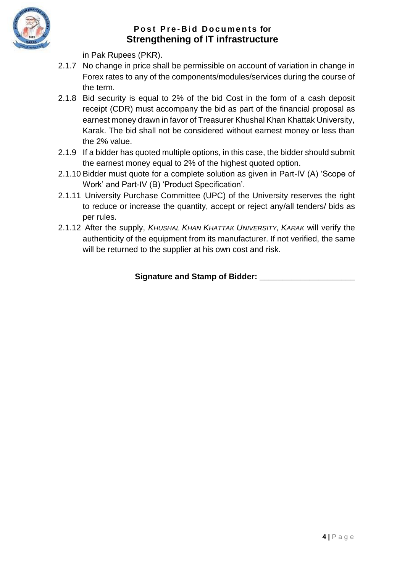

in Pak Rupees (PKR).

- 2.1.7 No change in price shall be permissible on account of variation in change in Forex rates to any of the components/modules/services during the course of the term.
- 2.1.8 Bid security is equal to 2% of the bid Cost in the form of a cash deposit receipt (CDR) must accompany the bid as part of the financial proposal as earnest money drawn in favor of Treasurer Khushal Khan Khattak University, Karak. The bid shall not be considered without earnest money or less than the 2% value.
- 2.1.9 If a bidder has quoted multiple options, in this case, the bidder should submit the earnest money equal to 2% of the highest quoted option.
- 2.1.10 Bidder must quote for a complete solution as given in Part-IV (A) 'Scope of Work' and Part-IV (B) 'Product Specification'.
- 2.1.11 University Purchase Committee (UPC) of the University reserves the right to reduce or increase the quantity, accept or reject any/all tenders/ bids as per rules.
- 2.1.12 After the supply, *KHUSHAL KHAN KHATTAK UNIVERSITY, KARAK* will verify the authenticity of the equipment from its manufacturer. If not verified, the same will be returned to the supplier at his own cost and risk.

**Signature and Stamp of Bidder: \_\_\_\_\_\_\_\_\_\_\_\_\_\_\_\_\_\_\_\_\_**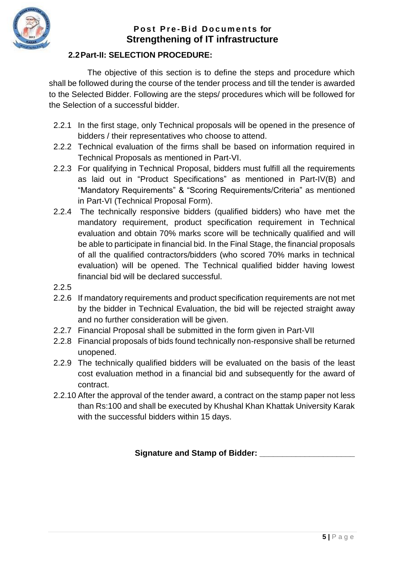

# **2.2Part-II: SELECTION PROCEDURE:**

<span id="page-6-0"></span>The objective of this section is to define the steps and procedure which shall be followed during the course of the tender process and till the tender is awarded to the Selected Bidder. Following are the steps/ procedures which will be followed for the Selection of a successful bidder.

- 2.2.1 In the first stage, only Technical proposals will be opened in the presence of bidders / their representatives who choose to attend.
- 2.2.2 Technical evaluation of the firms shall be based on information required in Technical Proposals as mentioned in Part-VI.
- 2.2.3 For qualifying in Technical Proposal, bidders must fulfill all the requirements as laid out in "Product Specifications" as mentioned in Part-IV(B) and "Mandatory Requirements" & "Scoring Requirements/Criteria" as mentioned in Part-VI (Technical Proposal Form).
- 2.2.4 The technically responsive bidders (qualified bidders) who have met the mandatory requirement, product specification requirement in Technical evaluation and obtain 70% marks score will be technically qualified and will be able to participate in financial bid. In the Final Stage, the financial proposals of all the qualified contractors/bidders (who scored 70% marks in technical evaluation) will be opened. The Technical qualified bidder having lowest financial bid will be declared successful.
- 2.2.5
- 2.2.6 If mandatory requirements and product specification requirements are not met by the bidder in Technical Evaluation, the bid will be rejected straight away and no further consideration will be given.
- 2.2.7 Financial Proposal shall be submitted in the form given in Part-VII
- 2.2.8 Financial proposals of bids found technically non-responsive shall be returned unopened.
- 2.2.9 The technically qualified bidders will be evaluated on the basis of the least cost evaluation method in a financial bid and subsequently for the award of contract.
- 2.2.10 After the approval of the tender award, a contract on the stamp paper not less than Rs:100 and shall be executed by Khushal Khan Khattak University Karak with the successful bidders within 15 days.

**Signature and Stamp of Bidder: \_\_\_\_\_\_\_\_\_\_\_\_\_\_\_\_\_\_\_\_\_**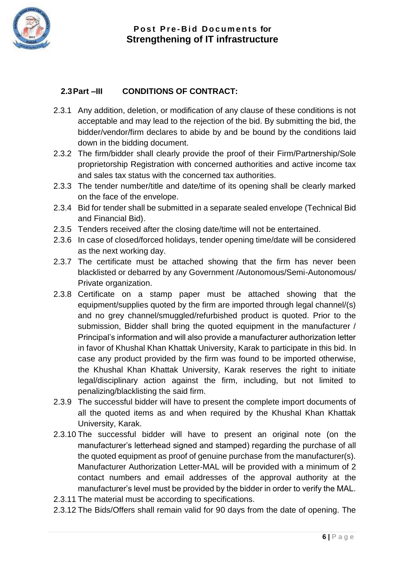

# <span id="page-7-0"></span>**2.3Part –III CONDITIONS OF CONTRACT:**

- 2.3.1 Any addition, deletion, or modification of any clause of these conditions is not acceptable and may lead to the rejection of the bid. By submitting the bid, the bidder/vendor/firm declares to abide by and be bound by the conditions laid down in the bidding document.
- 2.3.2 The firm/bidder shall clearly provide the proof of their Firm/Partnership/Sole proprietorship Registration with concerned authorities and active income tax and sales tax status with the concerned tax authorities.
- 2.3.3 The tender number/title and date/time of its opening shall be clearly marked on the face of the envelope.
- 2.3.4 Bid for tender shall be submitted in a separate sealed envelope (Technical Bid and Financial Bid).
- 2.3.5 Tenders received after the closing date/time will not be entertained.
- 2.3.6 In case of closed/forced holidays, tender opening time/date will be considered as the next working day.
- 2.3.7 The certificate must be attached showing that the firm has never been blacklisted or debarred by any Government /Autonomous/Semi-Autonomous/ Private organization.
- 2.3.8 Certificate on a stamp paper must be attached showing that the equipment/supplies quoted by the firm are imported through legal channel/(s) and no grey channel/smuggled/refurbished product is quoted. Prior to the submission. Bidder shall bring the quoted equipment in the manufacturer / Principal's information and will also provide a manufacturer authorization letter in favor of Khushal Khan Khattak University, Karak to participate in this bid. In case any product provided by the firm was found to be imported otherwise, the Khushal Khan Khattak University, Karak reserves the right to initiate legal/disciplinary action against the firm, including, but not limited to penalizing/blacklisting the said firm.
- 2.3.9 The successful bidder will have to present the complete import documents of all the quoted items as and when required by the Khushal Khan Khattak University, Karak.
- 2.3.10 The successful bidder will have to present an original note (on the manufacturer's letterhead signed and stamped) regarding the purchase of all the quoted equipment as proof of genuine purchase from the manufacturer(s). Manufacturer Authorization Letter-MAL will be provided with a minimum of 2 contact numbers and email addresses of the approval authority at the manufacturer's level must be provided by the bidder in order to verify the MAL.
- 2.3.11 The material must be according to specifications.
- 2.3.12 The Bids/Offers shall remain valid for 90 days from the date of opening. The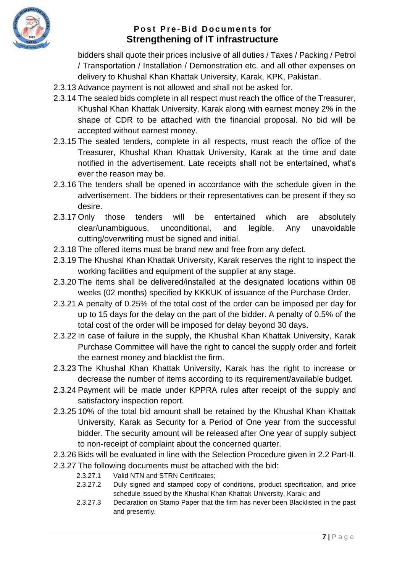

bidders shall quote their prices inclusive of all duties / Taxes / Packing / Petrol / Transportation / Installation / Demonstration etc. and all other expenses on delivery to Khushal Khan Khattak University, Karak, KPK, Pakistan.

- 2.3.13 Advance payment is not allowed and shall not be asked for.
- 2.3.14 The sealed bids complete in all respect must reach the office of the Treasurer, Khushal Khan Khattak University, Karak along with earnest money 2% in the shape of CDR to be attached with the financial proposal. No bid will be accepted without earnest money.
- 2.3.15 The sealed tenders, complete in all respects, must reach the office of the Treasurer, Khushal Khan Khattak University, Karak at the time and date notified in the advertisement. Late receipts shall not be entertained, what's ever the reason may be.
- 2.3.16 The tenders shall be opened in accordance with the schedule given in the advertisement. The bidders or their representatives can be present if they so desire.
- 2.3.17 Only those tenders will be entertained which are absolutely clear/unambiguous, unconditional, and legible. Any unavoidable cutting/overwriting must be signed and initial.
- 2.3.18 The offered items must be brand new and free from any defect.
- 2.3.19 The Khushal Khan Khattak University, Karak reserves the right to inspect the working facilities and equipment of the supplier at any stage.
- 2.3.20 The items shall be delivered/installed at the designated locations within 08 weeks (02 months) specified by KKKUK of issuance of the Purchase Order.
- 2.3.21 A penalty of 0.25% of the total cost of the order can be imposed per day for up to 15 days for the delay on the part of the bidder. A penalty of 0.5% of the total cost of the order will be imposed for delay beyond 30 days.
- 2.3.22 In case of failure in the supply, the Khushal Khan Khattak University, Karak Purchase Committee will have the right to cancel the supply order and forfeit the earnest money and blacklist the firm.
- 2.3.23 The Khushal Khan Khattak University, Karak has the right to increase or decrease the number of items according to its requirement/available budget.
- 2.3.24 Payment will be made under KPPRA rules after receipt of the supply and satisfactory inspection report.
- 2.3.25 10% of the total bid amount shall be retained by the Khushal Khan Khattak University, Karak as Security for a Period of One year from the successful bidder. The security amount will be released after One year of supply subject to non-receipt of complaint about the concerned quarter.
- 2.3.26 Bids will be evaluated in line with the Selection Procedure given in 2.2 Part-II.
- 2.3.27 The following documents must be attached with the bid:
	- 2.3.27.1 Valid NTN and STRN Certificates;
	- 2.3.27.2 Duly signed and stamped copy of conditions, product specification, and price schedule issued by the Khushal Khan Khattak University, Karak; and
	- 2.3.27.3 Declaration on Stamp Paper that the firm has never been Blacklisted in the past and presently.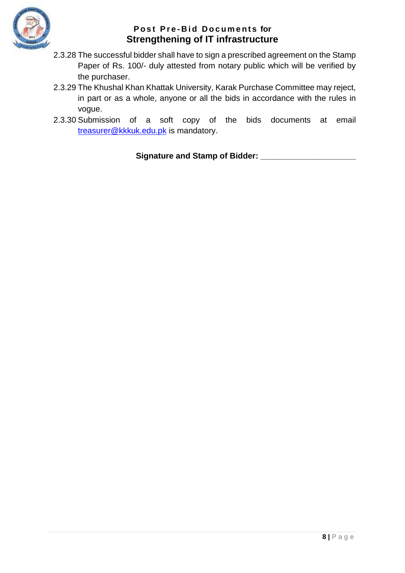

- 2.3.28 The successful bidder shall have to sign a prescribed agreement on the Stamp Paper of Rs. 100/- duly attested from notary public which will be verified by the purchaser.
- 2.3.29 The Khushal Khan Khattak University, Karak Purchase Committee may reject, in part or as a whole, anyone or all the bids in accordance with the rules in vogue.
- 2.3.30 Submission of a soft copy of the bids documents at email [treasurer@kkkuk.edu.pk](mailto:treasurer@kkkuk.edu.pk) is mandatory.

**Signature and Stamp of Bidder: \_\_\_\_\_\_\_\_\_\_\_\_\_\_\_\_\_\_\_\_\_**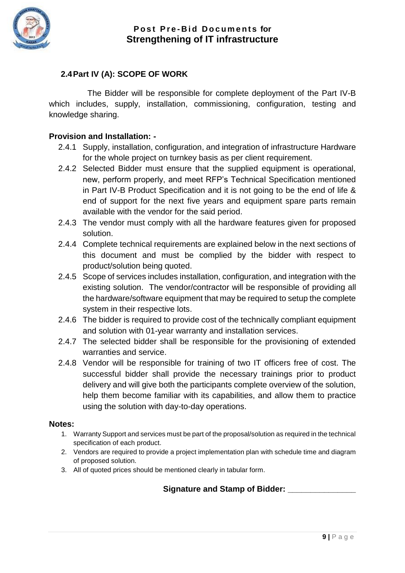

#### <span id="page-10-0"></span>**2.4Part IV (A): SCOPE OF WORK**

The Bidder will be responsible for complete deployment of the Part IV-B which includes, supply, installation, commissioning, configuration, testing and knowledge sharing.

#### **Provision and Installation: -**

- 2.4.1 Supply, installation, configuration, and integration of infrastructure Hardware for the whole project on turnkey basis as per client requirement.
- 2.4.2 Selected Bidder must ensure that the supplied equipment is operational, new, perform properly, and meet RFP's Technical Specification mentioned in Part IV-B Product Specification and it is not going to be the end of life & end of support for the next five years and equipment spare parts remain available with the vendor for the said period.
- 2.4.3 The vendor must comply with all the hardware features given for proposed solution.
- 2.4.4 Complete technical requirements are explained below in the next sections of this document and must be complied by the bidder with respect to product/solution being quoted.
- 2.4.5 Scope of services includes installation, configuration, and integration with the existing solution. The vendor/contractor will be responsible of providing all the hardware/software equipment that may be required to setup the complete system in their respective lots.
- 2.4.6 The bidder is required to provide cost of the technically compliant equipment and solution with 01-year warranty and installation services.
- 2.4.7 The selected bidder shall be responsible for the provisioning of extended warranties and service.
- 2.4.8 Vendor will be responsible for training of two IT officers free of cost. The successful bidder shall provide the necessary trainings prior to product delivery and will give both the participants complete overview of the solution, help them become familiar with its capabilities, and allow them to practice using the solution with day-to-day operations.

#### **Notes:**

- 1. Warranty Support and services must be part of the proposal/solution as required in the technical specification of each product.
- 2. Vendors are required to provide a project implementation plan with schedule time and diagram of proposed solution.
- 3. All of quoted prices should be mentioned clearly in tabular form.

#### **Signature and Stamp of Bidder: \_\_\_\_\_\_\_\_\_\_\_\_\_\_\_**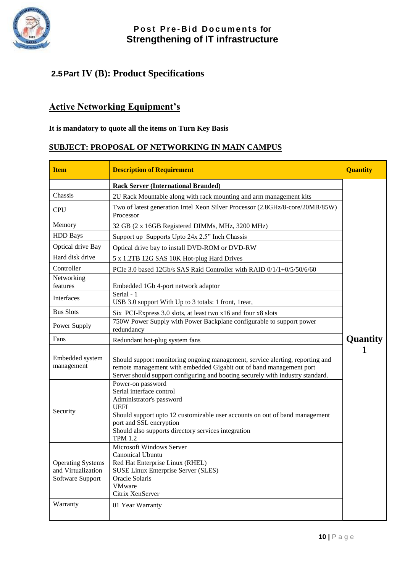

# <span id="page-11-0"></span>**2.5Part IV (B): Product Specifications**

# **Active Networking Equipment's**

#### **It is mandatory to quote all the items on Turn Key Basis**

## **SUBJECT: PROPOSAL OF NETWORKING IN MAIN CAMPUS**

| <b>Item</b>                                                        | <b>Description of Requirement</b>                                                                                                                                                                                                                                           | <b>Quantity</b> |
|--------------------------------------------------------------------|-----------------------------------------------------------------------------------------------------------------------------------------------------------------------------------------------------------------------------------------------------------------------------|-----------------|
|                                                                    | <b>Rack Server (International Branded)</b>                                                                                                                                                                                                                                  |                 |
| Chassis                                                            | 2U Rack Mountable along with rack mounting and arm management kits                                                                                                                                                                                                          |                 |
| <b>CPU</b>                                                         | Two of latest generation Intel Xeon Silver Processor (2.8GHz/8-core/20MB/85W)<br>Processor                                                                                                                                                                                  |                 |
| Memory                                                             | 32 GB (2 x 16GB Registered DIMMs, MHz, 3200 MHz)                                                                                                                                                                                                                            |                 |
| <b>HDD</b> Bays                                                    | Support up Supports Upto 24x 2.5" Inch Chassis                                                                                                                                                                                                                              |                 |
| Optical drive Bay                                                  | Optical drive bay to install DVD-ROM or DVD-RW                                                                                                                                                                                                                              |                 |
| Hard disk drive                                                    | 5 x 1.2TB 12G SAS 10K Hot-plug Hard Drives                                                                                                                                                                                                                                  |                 |
| Controller                                                         | PCIe 3.0 based 12Gb/s SAS Raid Controller with RAID 0/1/1+0/5/50/6/60                                                                                                                                                                                                       |                 |
| Networking<br>features                                             | Embedded 1Gb 4-port network adaptor                                                                                                                                                                                                                                         |                 |
| Interfaces                                                         | Serial - 1<br>USB 3.0 support With Up to 3 totals: 1 front, 1 rear,                                                                                                                                                                                                         |                 |
| <b>Bus Slots</b>                                                   | Six PCI-Express 3.0 slots, at least two x16 and four x8 slots                                                                                                                                                                                                               |                 |
| Power Supply                                                       | 750W Power Supply with Power Backplane configurable to support power<br>redundancy                                                                                                                                                                                          |                 |
| Fans                                                               | Redundant hot-plug system fans                                                                                                                                                                                                                                              | <b>Quantity</b> |
| Embedded system<br>management                                      | Should support monitoring ongoing management, service alerting, reporting and<br>remote management with embedded Gigabit out of band management port<br>Server should support configuring and booting securely with industry standard.                                      |                 |
| Security                                                           | Power-on password<br>Serial interface control<br>Administrator's password<br><b>UEFI</b><br>Should support upto 12 customizable user accounts on out of band management<br>port and SSL encryption<br>Should also supports directory services integration<br><b>TPM 1.2</b> |                 |
| <b>Operating Systems</b><br>and Virtualization<br>Software Support | Microsoft Windows Server<br>Canonical Ubuntu<br>Red Hat Enterprise Linux (RHEL)<br><b>SUSE Linux Enterprise Server (SLES)</b><br>Oracle Solaris<br><b>VMware</b><br>Citrix XenServer                                                                                        |                 |
| Warranty                                                           | 01 Year Warranty                                                                                                                                                                                                                                                            |                 |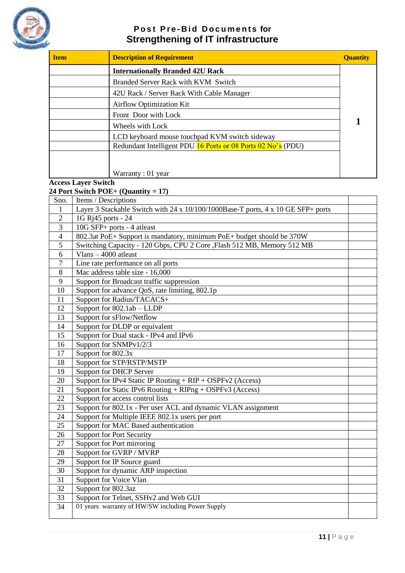

| <b>Item</b> | <b>Description of Requirement</b>                            | <b>Quantity</b> |
|-------------|--------------------------------------------------------------|-----------------|
|             | <b>Internationally Branded 42U Rack</b>                      |                 |
|             | Branded Server Rack with KVM Switch                          |                 |
|             | 42U Rack / Server Rack With Cable Manager                    |                 |
|             | <b>Airflow Optimization Kit</b>                              |                 |
|             | Front Door with Lock                                         |                 |
|             | Wheels with Lock                                             |                 |
|             | LCD keyboard mouse touchpad KVM switch sideway               |                 |
|             | Redundant Intelligent PDU 16 Ports or 08 Ports 02 No's (PDU) |                 |
|             | Warranty: 01 year                                            |                 |

#### **Access Layer Switch**

**24 Port Switch POE+ (Quantity = 17)**

| Sno.           | Items / Descriptions                                                             |  |
|----------------|----------------------------------------------------------------------------------|--|
| 1              | Layer 3 Stackable Switch with 24 x 10/100/1000Base-T ports, 4 x 10 GE SFP+ ports |  |
| $\overline{2}$ | 1G Rj45 ports - 24                                                               |  |
| 3              | 10G SFP+ ports - 4 atleast                                                       |  |
| $\overline{4}$ | 802.3at PoE+ Support is mandatory, minimum PoE+ budget should be 370W            |  |
| 5              | Switching Capacity - 120 Gbps, CPU 2 Core , Flash 512 MB, Memory 512 MB          |  |
| 6              | Vlans $-4000$ at least                                                           |  |
| $\overline{7}$ | Line rate performance on all ports                                               |  |
| 8              | Mac address table size - 16,000                                                  |  |
| 9              | Support for Broadcast traffic suppression                                        |  |
| 10             | Support for advance QoS, rate limiting, 802.1p                                   |  |
| 11             | Support for Radius/TACACS+                                                       |  |
| 12             | Support for 802.1ab - LLDP                                                       |  |
| 13             | Support for sFlow/Netflow                                                        |  |
| 14             | Support for DLDP or equivalent                                                   |  |
| 15             | Support for Dual stack - IPv4 and IPv6                                           |  |
| 16             | Support for SNMPv1/2/3                                                           |  |
| 17             | Support for 802.3x                                                               |  |
| 18             | Support for STP/RSTP/MSTP                                                        |  |
| 19             | Support for DHCP Server                                                          |  |
| 20             | Support for IPv4 Static IP Routing + RIP + OSPFv2 (Access)                       |  |
| 21             | Support for Static IPv6 Routing + RIPng + OSPFv3 (Access)                        |  |
| 22             | Support for access control lists                                                 |  |
| 23             | Support for 802.1x - Per user ACL and dynamic VLAN assignment                    |  |
| 24             | Support for Multiple IEEE 802.1x users per port                                  |  |
| 25             | Support for MAC Based authentication                                             |  |
| 26             | <b>Support for Port Security</b>                                                 |  |
| 27             | Support for Port mirroring                                                       |  |
| 28             | Support for GVRP / MVRP                                                          |  |
| 29             | Support for IP Source guard                                                      |  |
| 30             | Support for dynamic ARP inspection                                               |  |
| 31             | Support for Voice Vlan                                                           |  |
| 32             | Support for 802.3az                                                              |  |
| 33             | Support for Telnet, SSHv2 and Web GUI                                            |  |
| 34             | 01 years warranty of HW/SW including Power Supply                                |  |
|                |                                                                                  |  |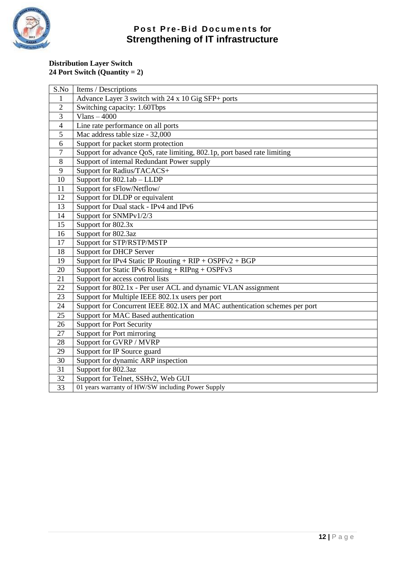

#### **Distribution Layer Switch 24 Port Switch (Quantity = 2)**

| S.No           | Items / Descriptions                                                       |
|----------------|----------------------------------------------------------------------------|
| 1              | Advance Layer 3 switch with 24 x 10 Gig SFP+ ports                         |
| $\overline{2}$ | Switching capacity: 1.60Tbps                                               |
| 3              | Vlans $-4000$                                                              |
| $\overline{4}$ | Line rate performance on all ports                                         |
| $\overline{5}$ | Mac address table size - 32,000                                            |
| 6              | Support for packet storm protection                                        |
| 7              | Support for advance QoS, rate limiting, 802.1p, port based rate limiting   |
| 8              | Support of internal Redundant Power supply                                 |
| 9              | Support for Radius/TACACS+                                                 |
| 10             | Support for 802.1ab - LLDP                                                 |
| 11             | Support for sFlow/Netflow/                                                 |
| 12             | Support for DLDP or equivalent                                             |
| 13             | Support for Dual stack - IPv4 and IPv6                                     |
| 14             | Support for SNMPv1/2/3                                                     |
| 15             | Support for 802.3x                                                         |
| 16             | Support for 802.3az                                                        |
| 17             | Support for STP/RSTP/MSTP                                                  |
| 18             | <b>Support for DHCP Server</b>                                             |
| 19             | Support for IPv4 Static IP Routing + $RIP + OSPFv2 + BGP$                  |
| 20             | Support for Static IPv6 Routing + $RIPng + OSPFv3$                         |
| 21             | Support for access control lists                                           |
| 22             | Support for 802.1x - Per user ACL and dynamic VLAN assignment              |
| 23             | Support for Multiple IEEE 802.1x users per port                            |
| 24             | Support for Concurrent IEEE 802.1X and MAC authentication schemes per port |
| 25             | Support for MAC Based authentication                                       |
| 26             | <b>Support for Port Security</b>                                           |
| 27             | Support for Port mirroring                                                 |
| 28             | Support for GVRP / MVRP                                                    |
| 29             | Support for IP Source guard                                                |
| 30             | Support for dynamic ARP inspection                                         |
| 31             | Support for 802.3az                                                        |
| 32             | Support for Telnet, SSHv2, Web GUI                                         |
| 33             | 01 years warranty of HW/SW including Power Supply                          |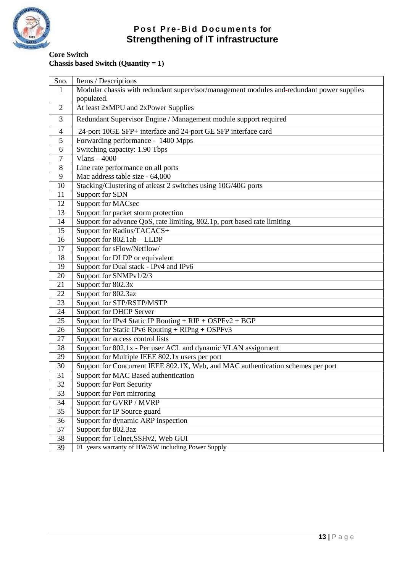

**Core Switch Chassis based Switch (Quantity = 1)**

| Sno.            | Items / Descriptions                                                                      |
|-----------------|-------------------------------------------------------------------------------------------|
| 1               | Modular chassis with redundant supervisor/management modules and-redundant power supplies |
|                 | populated.                                                                                |
| $\overline{2}$  | At least 2xMPU and 2xPower Supplies                                                       |
| 3               | Redundant Supervisor Engine / Management module support required                          |
| $\overline{4}$  | 24-port 10GE SFP+ interface and 24-port GE SFP interface card                             |
| 5               | Forwarding performance - 1400 Mpps                                                        |
| 6               | Switching capacity: 1.90 Tbps                                                             |
| 7               | Vlans $-4000$                                                                             |
| 8               | Line rate performance on all ports                                                        |
| 9               | Mac address table size - 64,000                                                           |
| 10              | Stacking/Clustering of atleast 2 switches using 10G/40G ports                             |
| 11              | Support for SDN                                                                           |
| 12              | <b>Support for MACsec</b>                                                                 |
| 13              | Support for packet storm protection                                                       |
| 14              | Support for advance QoS, rate limiting, 802.1p, port based rate limiting                  |
| 15              | Support for Radius/TACACS+                                                                |
| 16              | Support for 802.1ab - LLDP                                                                |
| 17              | Support for sFlow/Netflow/                                                                |
| 18              | Support for DLDP or equivalent                                                            |
| 19              | Support for Dual stack - IPv4 and IPv6                                                    |
| 20              | Support for SNMPv1/2/3                                                                    |
| 21              | Support for 802.3x                                                                        |
| 22              | Support for 802.3az                                                                       |
| 23              | Support for STP/RSTP/MSTP                                                                 |
| 24              | <b>Support for DHCP Server</b>                                                            |
| 25              | Support for IPv4 Static IP Routing + $RIP + OSPFv2 + BGP$                                 |
| 26              | Support for Static IPv6 Routing + RIPng + OSPFv3                                          |
| 27              | Support for access control lists                                                          |
| 28              | Support for 802.1x - Per user ACL and dynamic VLAN assignment                             |
| 29              | Support for Multiple IEEE 802.1x users per port                                           |
| 30              | Support for Concurrent IEEE 802.1X, Web, and MAC authentication schemes per port          |
| 31              | Support for MAC Based authentication                                                      |
| 32              | <b>Support for Port Security</b>                                                          |
| 33              | Support for Port mirroring                                                                |
| 34              | Support for GVRP / MVRP                                                                   |
| 35              | Support for IP Source guard                                                               |
| 36              | Support for dynamic ARP inspection                                                        |
| $\overline{37}$ | Support for 802.3az                                                                       |
| 38              | Support for Telnet, SSHv2, Web GUI                                                        |
| 39              | 01 years warranty of HW/SW including Power Supply                                         |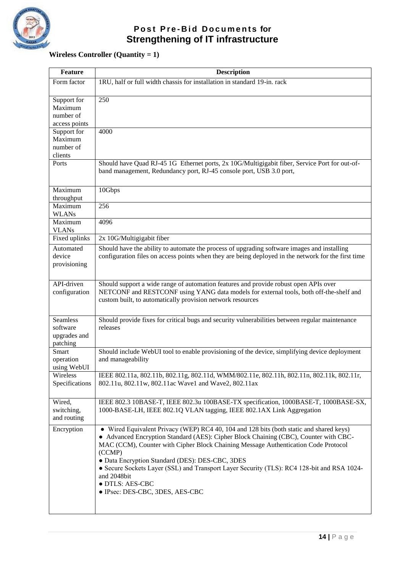

# **Wireless Controller (Quantity = 1)**

| <b>Feature</b>                                          | <b>Description</b>                                                                                                                                                                                                                                                                                                                                                                                                                                                                                    |
|---------------------------------------------------------|-------------------------------------------------------------------------------------------------------------------------------------------------------------------------------------------------------------------------------------------------------------------------------------------------------------------------------------------------------------------------------------------------------------------------------------------------------------------------------------------------------|
| Form factor                                             | 1RU, half or full width chassis for installation in standard 19-in. rack                                                                                                                                                                                                                                                                                                                                                                                                                              |
| Support for                                             | 250                                                                                                                                                                                                                                                                                                                                                                                                                                                                                                   |
| Maximum                                                 |                                                                                                                                                                                                                                                                                                                                                                                                                                                                                                       |
| number of                                               |                                                                                                                                                                                                                                                                                                                                                                                                                                                                                                       |
| access points                                           |                                                                                                                                                                                                                                                                                                                                                                                                                                                                                                       |
| Support for<br>Maximum                                  | 4000                                                                                                                                                                                                                                                                                                                                                                                                                                                                                                  |
| number of                                               |                                                                                                                                                                                                                                                                                                                                                                                                                                                                                                       |
| clients                                                 |                                                                                                                                                                                                                                                                                                                                                                                                                                                                                                       |
| Ports                                                   | Should have Quad RJ-45 1G Ethernet ports, 2x 10G/Multigigabit fiber, Service Port for out-of-<br>band management, Redundancy port, RJ-45 console port, USB 3.0 port,                                                                                                                                                                                                                                                                                                                                  |
| Maximum<br>throughput                                   | 10Gbps                                                                                                                                                                                                                                                                                                                                                                                                                                                                                                |
| Maximum<br><b>WLANs</b>                                 | 256                                                                                                                                                                                                                                                                                                                                                                                                                                                                                                   |
| Maximum<br><b>VLANs</b>                                 | 4096                                                                                                                                                                                                                                                                                                                                                                                                                                                                                                  |
| Fixed uplinks                                           | 2x 10G/Multigigabit fiber                                                                                                                                                                                                                                                                                                                                                                                                                                                                             |
| Automated                                               | Should have the ability to automate the process of upgrading software images and installing                                                                                                                                                                                                                                                                                                                                                                                                           |
| device<br>provisioning                                  | configuration files on access points when they are being deployed in the network for the first time                                                                                                                                                                                                                                                                                                                                                                                                   |
| API-driven<br>configuration                             | Should support a wide range of automation features and provide robust open APIs over<br>NETCONF and RESTCONF using YANG data models for external tools, both off-the-shelf and<br>custom built, to automatically provision network resources                                                                                                                                                                                                                                                          |
| <b>Seamless</b><br>software<br>upgrades and<br>patching | Should provide fixes for critical bugs and security vulnerabilities between regular maintenance<br>releases                                                                                                                                                                                                                                                                                                                                                                                           |
| Smart<br>operation<br>using WebUI                       | Should include WebUI tool to enable provisioning of the device, simplifying device deployment<br>and manageability                                                                                                                                                                                                                                                                                                                                                                                    |
| Wireless<br>Specifications                              | IEEE 802.11a, 802.11b, 802.11g, 802.11d, WMM/802.11e, 802.11h, 802.11n, 802.11k, 802.11r,<br>802.11u, 802.11w, 802.11ac Wave1 and Wave2, 802.11ax                                                                                                                                                                                                                                                                                                                                                     |
| Wired,<br>switching,<br>and routing                     | IEEE 802.3 10BASE-T, IEEE 802.3u 100BASE-TX specification, 1000BASE-T, 1000BASE-SX,<br>1000-BASE-LH, IEEE 802.1Q VLAN tagging, IEEE 802.1AX Link Aggregation                                                                                                                                                                                                                                                                                                                                          |
| Encryption                                              | • Wired Equivalent Privacy (WEP) RC4 40, 104 and 128 bits (both static and shared keys)<br>• Advanced Encryption Standard (AES): Cipher Block Chaining (CBC), Counter with CBC-<br>MAC (CCM), Counter with Cipher Block Chaining Message Authentication Code Protocol<br>(CCMP)<br>· Data Encryption Standard (DES): DES-CBC, 3DES<br>• Secure Sockets Layer (SSL) and Transport Layer Security (TLS): RC4 128-bit and RSA 1024-<br>and 2048bit<br>· DTLS: AES-CBC<br>• IPsec: DES-CBC, 3DES, AES-CBC |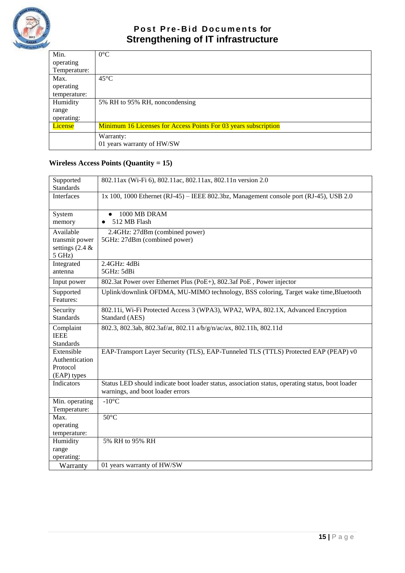

| Min.           | $0^{\circ}$ C                                                   |
|----------------|-----------------------------------------------------------------|
| operating      |                                                                 |
| Temperature:   |                                                                 |
| Max.           | $45^{\circ}$ C                                                  |
| operating      |                                                                 |
| temperature:   |                                                                 |
| Humidity       | 5% RH to 95% RH, noncondensing                                  |
| range          |                                                                 |
| operating:     |                                                                 |
| <b>License</b> | Minimum 16 Licenses for Access Points For 03 years subscription |
|                | Warranty:                                                       |
|                | 01 years warranty of HW/SW                                      |

# **Wireless Access Points (Quantity = 15)**

| Supported<br><b>Standards</b>                                 | 802.11ax (Wi-Fi 6), 802.11ac, 802.11ax, 802.11n version 2.0                                                                          |
|---------------------------------------------------------------|--------------------------------------------------------------------------------------------------------------------------------------|
| <b>Interfaces</b>                                             | 1x 100, 1000 Ethernet (RJ-45) – IEEE 802.3bz, Management console port (RJ-45), USB 2.0                                               |
| System<br>memory                                              | 1000 MB DRAM<br>512 MB Flash                                                                                                         |
| Available<br>transmit power<br>settings $(2.4 \&$<br>$5$ GHz) | 2.4GHz: 27dBm (combined power)<br>5GHz: 27dBm (combined power)                                                                       |
| Integrated<br>antenna                                         | $2.4$ GHz: $4$ dBi<br>5GHz: 5dBi                                                                                                     |
| Input power                                                   | 802.3at Power over Ethernet Plus (PoE+), 802.3af PoE, Power injector                                                                 |
| Supported<br>Features:                                        | Uplink/downlink OFDMA, MU-MIMO technology, BSS coloring, Target wake time, Bluetooth                                                 |
| Security<br><b>Standards</b>                                  | 802.11i, Wi-Fi Protected Access 3 (WPA3), WPA2, WPA, 802.1X, Advanced Encryption<br>Standard (AES)                                   |
| Complaint<br><b>IEEE</b><br><b>Standards</b>                  | 802.3, 802.3ab, 802.3af/at, 802.11 a/b/g/n/ac/ax, 802.11h, 802.11d                                                                   |
| Extensible<br>Authentication<br>Protocol<br>(EAP) types       | EAP-Transport Layer Security (TLS), EAP-Tunneled TLS (TTLS) Protected EAP (PEAP) v0                                                  |
| <b>Indicators</b>                                             | Status LED should indicate boot loader status, association status, operating status, boot loader<br>warnings, and boot loader errors |
| Min. operating<br>Temperature:                                | $-10^{\circ}$ C                                                                                                                      |
| Max.<br>operating<br>temperature:                             | $50^{\circ}$ C                                                                                                                       |
| Humidity<br>range<br>operating:                               | 5% RH to 95% RH                                                                                                                      |
| Warranty                                                      | 01 years warranty of HW/SW                                                                                                           |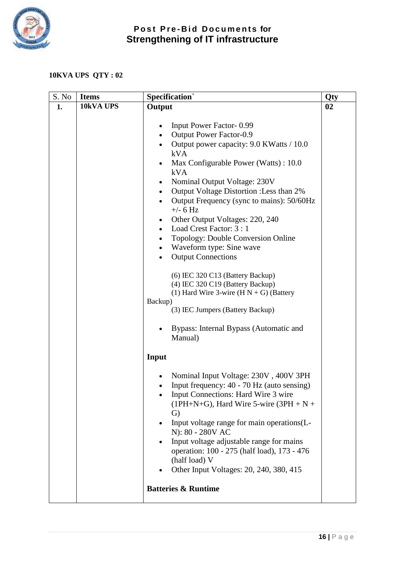

# **10KVA UPS QTY : 02**

| S. No | <b>Items</b> | <b>Specification</b>                                                                                                                                                                                                                                                                                                                                                                                                                                                                                                                                                                          | Qty |
|-------|--------------|-----------------------------------------------------------------------------------------------------------------------------------------------------------------------------------------------------------------------------------------------------------------------------------------------------------------------------------------------------------------------------------------------------------------------------------------------------------------------------------------------------------------------------------------------------------------------------------------------|-----|
| 1.    | 10kVA UPS    | Output                                                                                                                                                                                                                                                                                                                                                                                                                                                                                                                                                                                        | 02  |
|       |              | Input Power Factor-0.99<br>Output Power Factor-0.9<br>Output power capacity: 9.0 KWatts / 10.0<br>kVA<br>Max Configurable Power (Watts) : 10.0<br>$\bullet$<br>kVA<br>Nominal Output Voltage: 230V<br>$\bullet$<br>Output Voltage Distortion: Less than 2%<br>$\bullet$<br>Output Frequency (sync to mains): 50/60Hz<br>$\bullet$<br>$+/- 6 Hz$<br>Other Output Voltages: 220, 240<br>Load Crest Factor: 3 : 1<br>$\bullet$<br>Topology: Double Conversion Online<br>٠<br>Waveform type: Sine wave<br>$\bullet$<br><b>Output Connections</b><br>$\bullet$<br>(6) IEC 320 C13 (Battery Backup) |     |
|       |              | (4) IEC 320 C19 (Battery Backup)<br>(1) Hard Wire 3-wire $(H N + G)$ (Battery<br>Backup)<br>(3) IEC Jumpers (Battery Backup)<br>Bypass: Internal Bypass (Automatic and<br>Manual)                                                                                                                                                                                                                                                                                                                                                                                                             |     |
|       |              | Input                                                                                                                                                                                                                                                                                                                                                                                                                                                                                                                                                                                         |     |
|       |              | Nominal Input Voltage: 230V, 400V 3PH<br>٠<br>Input frequency: 40 - 70 Hz (auto sensing)<br>Input Connections: Hard Wire 3 wire<br>$\bullet$<br>$(1PH+N+G)$ , Hard Wire 5-wire (3PH + N +<br>G)<br>Input voltage range for main operations (L-<br>N): 80 - 280V AC<br>Input voltage adjustable range for mains<br>operation: 100 - 275 (half load), 173 - 476<br>(half load) V<br>Other Input Voltages: 20, 240, 380, 415                                                                                                                                                                     |     |
|       |              | <b>Batteries &amp; Runtime</b>                                                                                                                                                                                                                                                                                                                                                                                                                                                                                                                                                                |     |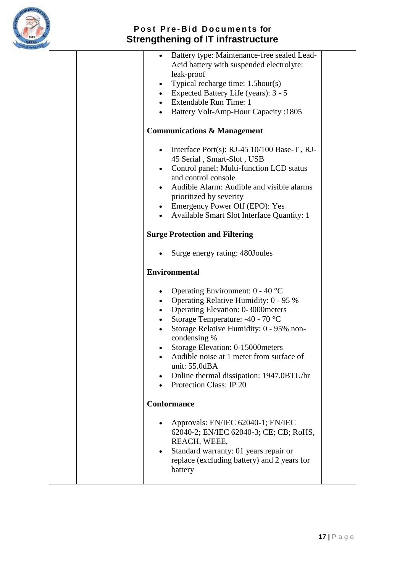

| Battery type: Maintenance-free sealed Lead-<br>$\bullet$<br>Acid battery with suspended electrolyte:<br>leak-proof<br>Typical recharge time: 1.5 hour(s)<br>$\bullet$<br>Expected Battery Life (years): 3 - 5<br>$\bullet$<br>Extendable Run Time: 1<br>$\bullet$<br><b>Battery Volt-Amp-Hour Capacity: 1805</b>                 |  |
|----------------------------------------------------------------------------------------------------------------------------------------------------------------------------------------------------------------------------------------------------------------------------------------------------------------------------------|--|
| <b>Communications &amp; Management</b>                                                                                                                                                                                                                                                                                           |  |
| Interface Port(s): $RJ-45$ 10/100 Base-T, RJ-<br>45 Serial, Smart-Slot, USB<br>Control panel: Multi-function LCD status<br>$\bullet$<br>and control console<br>Audible Alarm: Audible and visible alarms<br>prioritized by severity<br>Emergency Power Off (EPO): Yes<br>$\bullet$<br>Available Smart Slot Interface Quantity: 1 |  |
| <b>Surge Protection and Filtering</b>                                                                                                                                                                                                                                                                                            |  |
| Surge energy rating: 480Joules                                                                                                                                                                                                                                                                                                   |  |
| <b>Environmental</b>                                                                                                                                                                                                                                                                                                             |  |
| Operating Environment: $0 - 40$ °C<br>Operating Relative Humidity: 0 - 95 %<br><b>Operating Elevation: 0-3000 meters</b><br>Storage Temperature: -40 - 70 °C<br>$\bullet$<br>Storage Relative Humidity: 0 - 95% non-<br>condensing %<br>Storage Elevation: 0-15000 meters<br>Audible noise at 1 meter from surface of            |  |
| unit: 55.0dBA<br>Online thermal dissipation: 1947.0BTU/hr<br>$\bullet$<br>Protection Class: IP 20                                                                                                                                                                                                                                |  |
| <b>Conformance</b>                                                                                                                                                                                                                                                                                                               |  |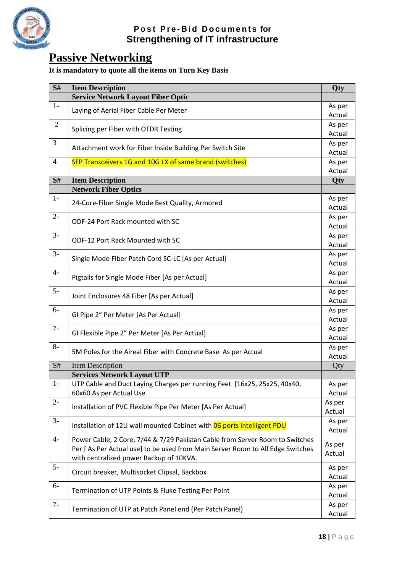

# **Passive Networking**

# **It is mandatory to quote all the items on Turn Key Basis**

| S#             | <b>Item Description</b>                                                       | Qty              |
|----------------|-------------------------------------------------------------------------------|------------------|
|                | <b>Service Network Layout Fiber Optic</b>                                     |                  |
| $1-$           | Laying of Aerial Fiber Cable Per Meter                                        | As per           |
|                |                                                                               | Actual           |
| $\mathfrak{2}$ | Splicing per Fiber with OTDR Testing                                          | As per           |
|                |                                                                               | Actual           |
| 3              | Attachment work for Fiber Inside Building Per Switch Site                     | As per           |
|                |                                                                               | Actual           |
| $\overline{4}$ | SFP Transceivers 1G and 10G LX of same brand (switches)                       | As per           |
|                |                                                                               | Actual           |
| S#             | <b>Item Description</b>                                                       | Qty              |
|                | <b>Network Fiber Optics</b>                                                   |                  |
| $1-$           | 24-Core-Fiber Single Mode Best Quality, Armored                               | As per           |
|                |                                                                               | Actual           |
| $2-$           | ODF-24 Port Rack mounted with SC                                              | As per           |
| $3-$           |                                                                               | Actual           |
|                | ODF-12 Port Rack Mounted with SC                                              | As per<br>Actual |
| $3-$           |                                                                               |                  |
|                | Single Mode Fiber Patch Cord SC-LC [As per Actual]                            | As per<br>Actual |
| $4-$           |                                                                               | As per           |
|                | Pigtails for Single Mode Fiber [As per Actual]                                | Actual           |
| $5-$           |                                                                               | As per           |
|                | Joint Enclosures 48 Fiber [As per Actual]                                     | Actual           |
| $6-$           |                                                                               | As per           |
|                | GI Pipe 2" Per Meter [As Per Actual]                                          | Actual           |
| $7-$           |                                                                               | As per           |
|                | GI Flexible Pipe 2" Per Meter [As Per Actual]                                 | Actual           |
| $8-$           |                                                                               | As per           |
|                | 5M Poles for the Aireal Fiber with Concrete Base As per Actual                | Actual           |
| S#             | <b>Item Description</b>                                                       | Qty              |
|                | <b>Services Network Layout UTP</b>                                            |                  |
| $1-$           | UTP Cable and Duct Laying Charges per running Feet [16x25, 25x25, 40x40,      | As per           |
|                | 60x60 As per Actual Use                                                       | Actual           |
| $2-$           | Installation of PVC Flexible Pipe Per Meter [As Per Actual]                   | As per           |
|                |                                                                               | Actual           |
| $3-$           | Installation of 12U wall mounted Cabinet with 06 ports intelligent PDU        | As per           |
|                |                                                                               | Actual           |
| $4-$           | Power Cable, 2 Core, 7/44 & 7/29 Pakistan Cable from Server Room to Switches  | As per           |
|                | Per [As Per Actual use] to be used from Main Server Room to All Edge Switches | Actual           |
|                | with centralized power Backup of 10KVA.                                       |                  |
| $5-$           | Circuit breaker, Multisocket Clipsal, Backbox                                 | As per           |
|                |                                                                               | Actual           |
| $6-$           | Termination of UTP Points & Fluke Testing Per Point                           | As per           |
|                |                                                                               | Actual           |
| $7-$           | Termination of UTP at Patch Panel end (Per Patch Panel)                       | As per           |
|                |                                                                               | Actual           |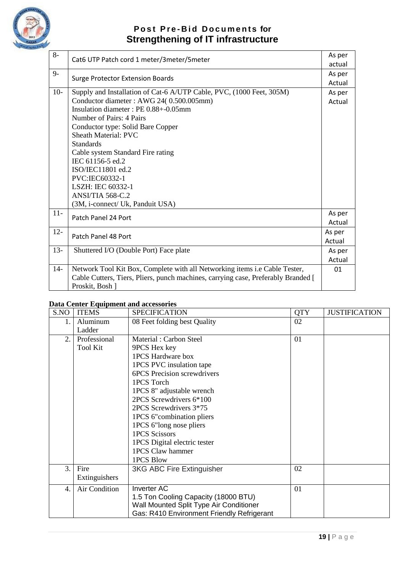

| $8-$   | Cat6 UTP Patch cord 1 meter/3meter/5meter                                         | As per |
|--------|-----------------------------------------------------------------------------------|--------|
|        |                                                                                   | actual |
| $9-$   | <b>Surge Protector Extension Boards</b>                                           | As per |
|        |                                                                                   | Actual |
| $10-$  | Supply and Installation of Cat-6 A/UTP Cable, PVC, (1000 Feet, 305M)              | As per |
|        | Conductor diameter : AWG 24(0.500.005mm)                                          | Actual |
|        | Insulation diameter: PE 0.88+-0.05mm                                              |        |
|        | Number of Pairs: 4 Pairs                                                          |        |
|        | Conductor type: Solid Bare Copper                                                 |        |
|        | <b>Sheath Material: PVC</b>                                                       |        |
|        | <b>Standards</b>                                                                  |        |
|        | Cable system Standard Fire rating                                                 |        |
|        | IEC 61156-5 ed.2                                                                  |        |
|        | ISO/IEC11801 ed.2                                                                 |        |
|        | PVC:IEC60332-1                                                                    |        |
|        | LSZH: IEC 60332-1                                                                 |        |
|        | ANSI/TIA 568-C.2                                                                  |        |
|        | (3M, i-connect/ Uk, Panduit USA)                                                  |        |
| $11-$  |                                                                                   | As per |
|        | Patch Panel 24 Port                                                               | Actual |
| $12 -$ |                                                                                   | As per |
|        | Patch Panel 48 Port                                                               | Actual |
| $13 -$ | Shuttered I/O (Double Port) Face plate                                            | As per |
|        |                                                                                   | Actual |
| $14-$  | Network Tool Kit Box, Complete with all Networking items i.e Cable Tester,        | 01     |
|        | Cable Cutters, Tiers, Pliers, punch machines, carrying case, Preferably Branded [ |        |
|        | Proskit, Bosh ]                                                                   |        |
|        |                                                                                   |        |

#### **Data Center Equipment and accessories**

| S.NO | <b>ITEMS</b>    | <b>SPECIFICATION</b>                       | <b>QTY</b> | <b>JUSTIFICATION</b> |
|------|-----------------|--------------------------------------------|------------|----------------------|
| 1.   | Aluminum        | 08 Feet folding best Quality               | 02         |                      |
|      | Ladder          |                                            |            |                      |
| 2.   | Professional    | Material: Carbon Steel                     | 01         |                      |
|      | <b>Tool Kit</b> | 9PCS Hex key                               |            |                      |
|      |                 | 1PCS Hardware box                          |            |                      |
|      |                 | 1PCS PVC insulation tape                   |            |                      |
|      |                 | <b>6PCS</b> Precision screwdrivers         |            |                      |
|      |                 | 1PCS Torch                                 |            |                      |
|      |                 | 1PCS 8" adjustable wrench                  |            |                      |
|      |                 | 2PCS Screwdrivers 6*100                    |            |                      |
|      |                 | 2PCS Screwdrivers 3*75                     |            |                      |
|      |                 | 1PCS 6"combination pliers                  |            |                      |
|      |                 | 1PCS 6"long nose pliers                    |            |                      |
|      |                 | <b>1PCS Scissors</b>                       |            |                      |
|      |                 | 1PCS Digital electric tester               |            |                      |
|      |                 | 1PCS Claw hammer                           |            |                      |
|      |                 | 1PCS Blow                                  |            |                      |
| 3.   | Fire            | <b>3KG ABC Fire Extinguisher</b>           | 02         |                      |
|      | Extinguishers   |                                            |            |                      |
| 4.   | Air Condition   | Inverter AC                                | 01         |                      |
|      |                 | 1.5 Ton Cooling Capacity (18000 BTU)       |            |                      |
|      |                 | Wall Mounted Split Type Air Conditioner    |            |                      |
|      |                 | Gas: R410 Environment Friendly Refrigerant |            |                      |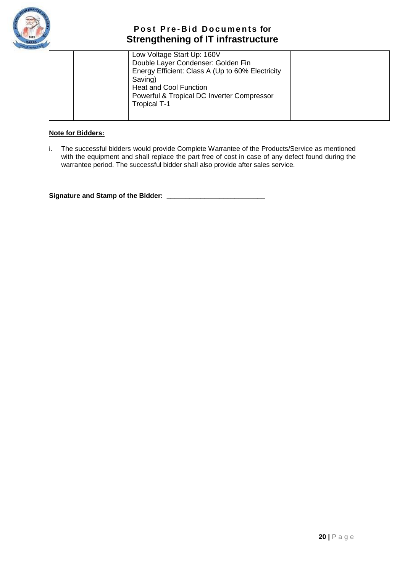

|  | Low Voltage Start Up: 160V                       |  |
|--|--------------------------------------------------|--|
|  | Double Layer Condenser: Golden Fin               |  |
|  | Energy Efficient: Class A (Up to 60% Electricity |  |
|  | Saving)                                          |  |
|  | <b>Heat and Cool Function</b>                    |  |
|  | Powerful & Tropical DC Inverter Compressor       |  |
|  | <b>Tropical T-1</b>                              |  |
|  |                                                  |  |
|  |                                                  |  |

#### **Note for Bidders:**

i. The successful bidders would provide Complete Warrantee of the Products/Service as mentioned with the equipment and shall replace the part free of cost in case of any defect found during the warrantee period. The successful bidder shall also provide after sales service.

**Signature and Stamp of the Bidder: \_\_\_\_\_\_\_\_\_\_\_\_\_\_\_\_\_\_\_\_\_\_\_\_\_\_**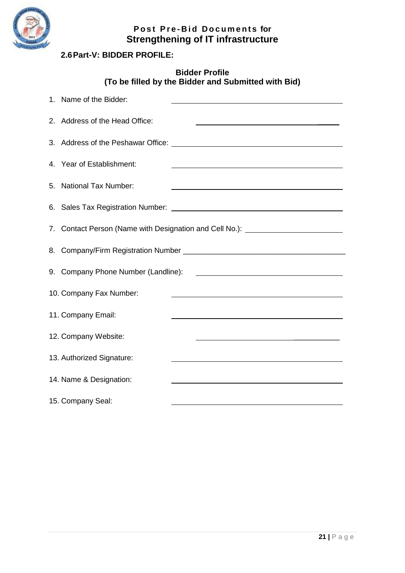

## <span id="page-22-0"></span>**2.6Part-V: BIDDER PROFILE:**

#### **Bidder Profile (To be filled by the Bidder and Submitted with Bid)**

| 1. Name of the Bidder:              |                                                                                                                                                                                                                               |
|-------------------------------------|-------------------------------------------------------------------------------------------------------------------------------------------------------------------------------------------------------------------------------|
| 2. Address of the Head Office:      | <u> 1980 - Johann Stoff, amerikansk politiker (d. 1980)</u>                                                                                                                                                                   |
|                                     |                                                                                                                                                                                                                               |
| 4. Year of Establishment:           |                                                                                                                                                                                                                               |
| 5. National Tax Number:             |                                                                                                                                                                                                                               |
|                                     |                                                                                                                                                                                                                               |
|                                     | 7. Contact Person (Name with Designation and Cell No.): Contact Person Community                                                                                                                                              |
|                                     |                                                                                                                                                                                                                               |
| 9. Company Phone Number (Landline): |                                                                                                                                                                                                                               |
| 10. Company Fax Number:             |                                                                                                                                                                                                                               |
| 11. Company Email:                  | the control of the control of the control of the control of the control of the control of the control of the control of the control of the control of the control of the control of the control of the control of the control |
| 12. Company Website:                | <u> 1989 - Johann Barbara, martin amerikan basal dan berkembang di banyak di banyak di banyak di banyak di banyak</u>                                                                                                         |
| 13. Authorized Signature:           |                                                                                                                                                                                                                               |
| 14. Name & Designation:             |                                                                                                                                                                                                                               |
| 15. Company Seal:                   |                                                                                                                                                                                                                               |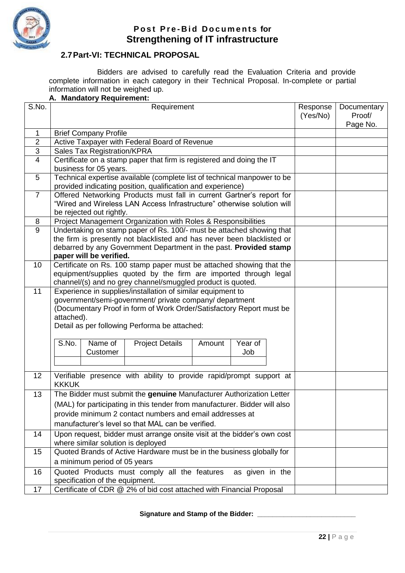

#### <span id="page-23-0"></span>**2.7Part-VI: TECHNICAL PROPOSAL**

Bidders are advised to carefully read the Evaluation Criteria and provide complete information in each category in their Technical Proposal. In-complete or partial information will not be weighed up.

#### **A. Mandatory Requirement:**

| S.No.          | Requirement                                                                                                                            | Response<br>(Yes/No) | Documentary<br>Proof/ |
|----------------|----------------------------------------------------------------------------------------------------------------------------------------|----------------------|-----------------------|
|                |                                                                                                                                        |                      | Page No.              |
| $\mathbf{1}$   | <b>Brief Company Profile</b>                                                                                                           |                      |                       |
| $\overline{2}$ | Active Taxpayer with Federal Board of Revenue                                                                                          |                      |                       |
| 3              | <b>Sales Tax Registration/KPRA</b>                                                                                                     |                      |                       |
| $\overline{4}$ | Certificate on a stamp paper that firm is registered and doing the IT                                                                  |                      |                       |
|                | business for 05 years.                                                                                                                 |                      |                       |
| 5              | Technical expertise available (complete list of technical manpower to be                                                               |                      |                       |
|                | provided indicating position, qualification and experience)                                                                            |                      |                       |
| $\overline{7}$ | Offered Networking Products must fall in current Gartner's report for                                                                  |                      |                       |
|                | "Wired and Wireless LAN Access Infrastructure" otherwise solution will                                                                 |                      |                       |
|                | be rejected out rightly.                                                                                                               |                      |                       |
| 8<br>9         | Project Management Organization with Roles & Responsibilities<br>Undertaking on stamp paper of Rs. 100/- must be attached showing that |                      |                       |
|                | the firm is presently not blacklisted and has never been blacklisted or                                                                |                      |                       |
|                | debarred by any Government Department in the past. Provided stamp                                                                      |                      |                       |
|                | paper will be verified.                                                                                                                |                      |                       |
| 10             | Certificate on Rs. 100 stamp paper must be attached showing that the                                                                   |                      |                       |
|                | equipment/supplies quoted by the firm are imported through legal                                                                       |                      |                       |
|                | channel/(s) and no grey channel/smuggled product is quoted.                                                                            |                      |                       |
| 11             | Experience in supplies/installation of similar equipment to                                                                            |                      |                       |
|                | government/semi-government/ private company/ department                                                                                |                      |                       |
|                | (Documentary Proof in form of Work Order/Satisfactory Report must be                                                                   |                      |                       |
|                | attached).                                                                                                                             |                      |                       |
|                | Detail as per following Performa be attached:                                                                                          |                      |                       |
|                | S.No.<br>Name of<br>Year of                                                                                                            |                      |                       |
|                | <b>Project Details</b><br>Amount<br>Job<br>Customer                                                                                    |                      |                       |
|                |                                                                                                                                        |                      |                       |
|                |                                                                                                                                        |                      |                       |
| 12             | Verifiable presence with ability to provide rapid/prompt support at                                                                    |                      |                       |
|                | <b>KKKUK</b>                                                                                                                           |                      |                       |
| 13             | The Bidder must submit the genuine Manufacturer Authorization Letter                                                                   |                      |                       |
|                | (MAL) for participating in this tender from manufacturer. Bidder will also                                                             |                      |                       |
|                | provide minimum 2 contact numbers and email addresses at                                                                               |                      |                       |
|                | manufacturer's level so that MAL can be verified.                                                                                      |                      |                       |
| 14             | Upon request, bidder must arrange onsite visit at the bidder's own cost                                                                |                      |                       |
|                | where similar solution is deployed                                                                                                     |                      |                       |
| 15             | Quoted Brands of Active Hardware must be in the business globally for                                                                  |                      |                       |
|                | a minimum period of 05 years                                                                                                           |                      |                       |
| 16             | Quoted Products must comply all the features<br>as given in the                                                                        |                      |                       |
|                | specification of the equipment.                                                                                                        |                      |                       |
| 17             | Certificate of CDR @ 2% of bid cost attached with Financial Proposal                                                                   |                      |                       |

#### **Signature and Stamp of the Bidder: \_\_\_\_\_\_\_\_\_\_\_\_\_\_\_\_\_\_\_\_\_\_\_\_\_\_**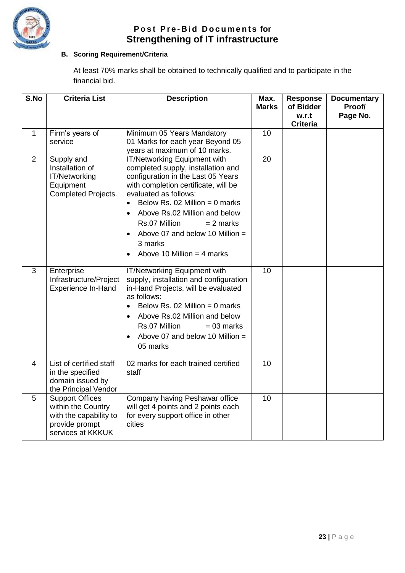

#### **B. Scoring Requirement/Criteria**

At least 70% marks shall be obtained to technically qualified and to participate in the financial bid.

| S.No         | <b>Criteria List</b>                                                                                          | <b>Description</b>                                                                                                                                                                                                                                                                                                                                                      | Max.<br><b>Marks</b> | <b>Response</b><br>of Bidder<br>w.r.t | <b>Documentary</b><br>Proof/<br>Page No. |
|--------------|---------------------------------------------------------------------------------------------------------------|-------------------------------------------------------------------------------------------------------------------------------------------------------------------------------------------------------------------------------------------------------------------------------------------------------------------------------------------------------------------------|----------------------|---------------------------------------|------------------------------------------|
|              |                                                                                                               |                                                                                                                                                                                                                                                                                                                                                                         |                      | <b>Criteria</b>                       |                                          |
| $\mathbf{1}$ | Firm's years of<br>service                                                                                    | Minimum 05 Years Mandatory<br>01 Marks for each year Beyond 05<br>years at maximum of 10 marks.                                                                                                                                                                                                                                                                         | 10                   |                                       |                                          |
| 2            | Supply and<br>Installation of<br>IT/Networking<br>Equipment<br><b>Completed Projects.</b>                     | IT/Networking Equipment with<br>completed supply, installation and<br>configuration in the Last 05 Years<br>with completion certificate, will be<br>evaluated as follows:<br>Below Rs. 02 Million = $0$ marks<br>$\bullet$<br>Above Rs.02 Million and below<br>Rs.07 Million<br>$= 2$ marks<br>Above 07 and below 10 Million =<br>3 marks<br>Above 10 Million = 4 marks | 20                   |                                       |                                          |
| 3            | Enterprise<br>Infrastructure/Project<br>Experience In-Hand                                                    | IT/Networking Equipment with<br>supply, installation and configuration<br>in-Hand Projects, will be evaluated<br>as follows:<br>Below Rs. 02 Million = $0$ marks<br>$\bullet$<br>Above Rs.02 Million and below<br>$\bullet$<br>Rs.07 Million<br>$= 03$ marks<br>Above 07 and below 10 Million $=$<br>$\bullet$<br>05 marks                                              | 10                   |                                       |                                          |
| 4            | List of certified staff<br>in the specified<br>domain issued by<br>the Principal Vendor                       | 02 marks for each trained certified<br>staff                                                                                                                                                                                                                                                                                                                            | 10                   |                                       |                                          |
| 5            | <b>Support Offices</b><br>within the Country<br>with the capability to<br>provide prompt<br>services at KKKUK | Company having Peshawar office<br>will get 4 points and 2 points each<br>for every support office in other<br>cities                                                                                                                                                                                                                                                    | 10                   |                                       |                                          |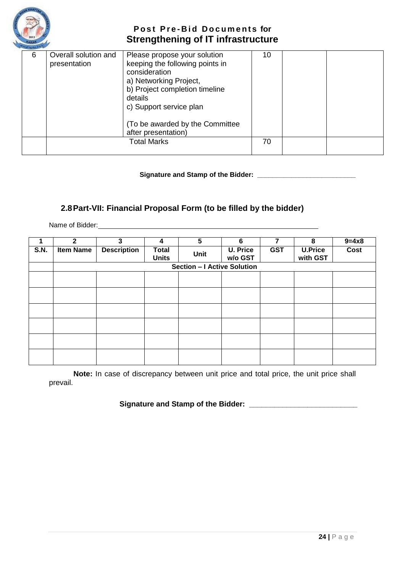

| 6 | Overall solution and<br>presentation | Please propose your solution<br>keeping the following points in<br>consideration<br>a) Networking Project,<br>b) Project completion timeline<br>details<br>c) Support service plan<br>(To be awarded by the Committee)<br>after presentation) | 10 |  |
|---|--------------------------------------|-----------------------------------------------------------------------------------------------------------------------------------------------------------------------------------------------------------------------------------------------|----|--|
|   |                                      | <b>Total Marks</b>                                                                                                                                                                                                                            | 70 |  |

**Signature and Stamp of the Bidder: \_\_\_\_\_\_\_\_\_\_\_\_\_\_\_\_\_\_\_\_\_\_\_\_\_\_**

#### <span id="page-25-0"></span>**2.8Part-VII: Financial Proposal Form (to be filled by the bidder)**

Name of Bidder:

|             | $\mathbf{2}$     | 3                  | 4                            | 5                           | 6                          |            | 8                          | $9 = 4 × 8$ |
|-------------|------------------|--------------------|------------------------------|-----------------------------|----------------------------|------------|----------------------------|-------------|
| <b>S.N.</b> | <b>Item Name</b> | <b>Description</b> | <b>Total</b><br><b>Units</b> | Unit                        | <b>U. Price</b><br>w/o GST | <b>GST</b> | <b>U.Price</b><br>with GST | Cost        |
|             |                  |                    |                              | Section - I Active Solution |                            |            |                            |             |
|             |                  |                    |                              |                             |                            |            |                            |             |
|             |                  |                    |                              |                             |                            |            |                            |             |
|             |                  |                    |                              |                             |                            |            |                            |             |
|             |                  |                    |                              |                             |                            |            |                            |             |
|             |                  |                    |                              |                             |                            |            |                            |             |
|             |                  |                    |                              |                             |                            |            |                            |             |
|             |                  |                    |                              |                             |                            |            |                            |             |
|             |                  |                    |                              |                             |                            |            |                            |             |
|             |                  |                    |                              |                             |                            |            |                            |             |
|             |                  |                    |                              |                             |                            |            |                            |             |
|             |                  |                    |                              |                             |                            |            |                            |             |

**Note:** In case of discrepancy between unit price and total price, the unit price shall prevail.

**Signature and Stamp of the Bidder: \_\_\_\_\_\_\_\_\_\_\_\_\_\_\_\_\_\_\_\_\_\_\_\_\_\_**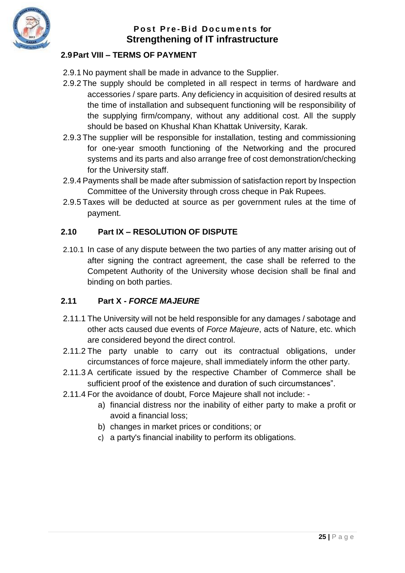

# **P o s t P r e - B i d D o c u m e n t s for Strengthening of IT infrastructure**

# <span id="page-26-0"></span>**2.9Part VIII – TERMS OF PAYMENT**

- 2.9.1 No payment shall be made in advance to the Supplier.
- 2.9.2 The supply should be completed in all respect in terms of hardware and accessories / spare parts. Any deficiency in acquisition of desired results at the time of installation and subsequent functioning will be responsibility of the supplying firm/company, without any additional cost. All the supply should be based on Khushal Khan Khattak University, Karak.
- 2.9.3 The supplier will be responsible for installation, testing and commissioning for one-year smooth functioning of the Networking and the procured systems and its parts and also arrange free of cost demonstration/checking for the University staff.
- 2.9.4 Payments shall be made after submission of satisfaction report by Inspection Committee of the University through cross cheque in Pak Rupees.
- 2.9.5 Taxes will be deducted at source as per government rules at the time of payment.

## <span id="page-26-1"></span>**2.10 Part IX – RESOLUTION OF DISPUTE**

2.10.1 In case of any dispute between the two parties of any matter arising out of after signing the contract agreement, the case shall be referred to the Competent Authority of the University whose decision shall be final and binding on both parties.

## <span id="page-26-2"></span>**2.11 Part X -** *FORCE MAJEURE*

- 2.11.1 The University will not be held responsible for any damages / sabotage and other acts caused due events of *Force Majeure*, acts of Nature, etc. which are considered beyond the direct control.
- 2.11.2 The party unable to carry out its contractual obligations, under circumstances of force majeure, shall immediately inform the other party.
- 2.11.3 A certificate issued by the respective Chamber of Commerce shall be sufficient proof of the existence and duration of such circumstances".
- 2.11.4 For the avoidance of doubt, Force Majeure shall not include:
	- a) financial distress nor the inability of either party to make a profit or avoid a financial loss;
	- b) changes in market prices or conditions; or
	- c) a party's financial inability to perform its obligations.